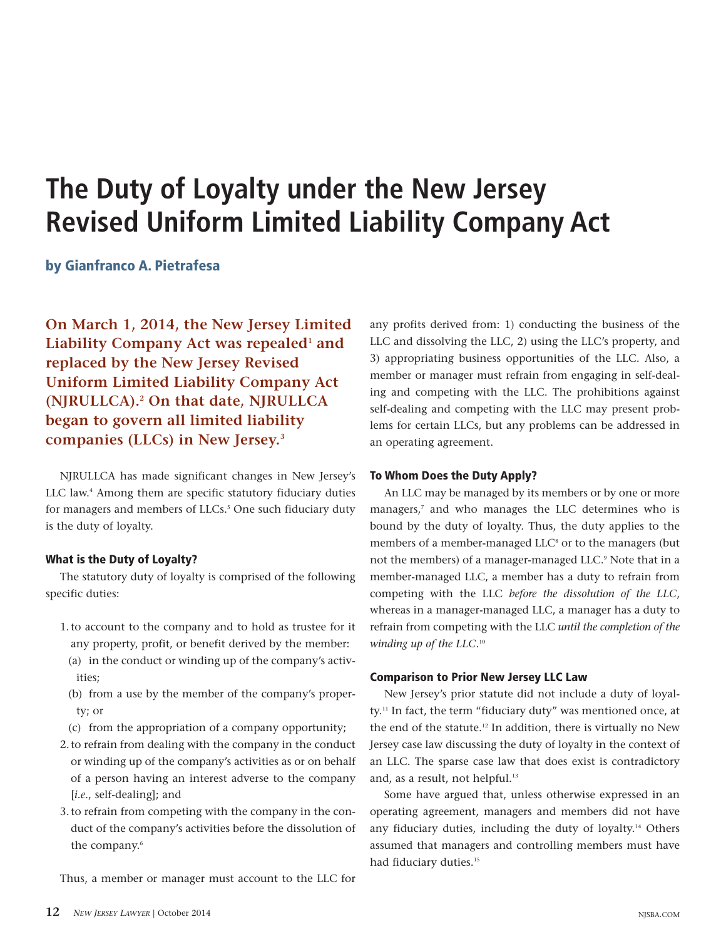# **The Duty of Loyalty under the New Jersey Revised Uniform Limited Liability Company Act**

by Gianfranco A. Pietrafesa

**On March 1, 2014, the New Jersey Limited Liability Company Act was repealed<sup>1</sup> and replaced by the New Jersey Revised Uniform Limited Liability Company Act (NJRULLCA).<sup>2</sup> On that date, NJRULLCA began to govern all limited liability companies (LLCs) in New Jersey.<sup>3</sup>**

NJRULLCA has made significant changes in New Jersey's LLC law.<sup>4</sup> Among them are specific statutory fiduciary duties for managers and members of LLCs.<sup>5</sup> One such fiduciary duty is the duty of loyalty.

# What is the Duty of Loyalty?

The statutory duty of loyalty is comprised of the following specific duties:

- 1.to account to the company and to hold as trustee for it any property, profit, or benefit derived by the member:
- (a) in the conduct or winding up of the company's activities;
- (b) from a use by the member of the company's property; or
- (c) from the appropriation of a company opportunity;
- 2.to refrain from dealing with the company in the conduct or winding up of the company's activities as or on behalf of a person having an interest adverse to the company [*i.e*., self-dealing]; and
- 3.to refrain from competing with the company in the conduct of the company's activities before the dissolution of the company.<sup>6</sup>

Thus, a member or manager must account to the LLC for

any profits derived from: 1) conducting the business of the LLC and dissolving the LLC, 2) using the LLC's property, and 3) appropriating business opportunities of the LLC. Also, a member or manager must refrain from engaging in self-dealing and competing with the LLC. The prohibitions against self-dealing and competing with the LLC may present problems for certain LLCs, but any problems can be addressed in an operating agreement.

# To Whom Does the Duty Apply?

An LLC may be managed by its members or by one or more managers,<sup>7</sup> and who manages the LLC determines who is bound by the duty of loyalty. Thus, the duty applies to the members of a member-managed LLC<sup>8</sup> or to the managers (but not the members) of a manager-managed LLC.<sup>9</sup> Note that in a member-managed LLC, a member has a duty to refrain from competing with the LLC *before the dissolution of the LLC*, whereas in a manager-managed LLC, a manager has a duty to refrain from competing with the LLC *until the completion of the winding up of the LLC*. 10

## Comparison to Prior New Jersey LLC Law

New Jersey's prior statute did not include a duty of loyalty.<sup>11</sup> In fact, the term "fiduciary duty" was mentioned once, at the end of the statute.<sup>12</sup> In addition, there is virtually no New Jersey case law discussing the duty of loyalty in the context of an LLC. The sparse case law that does exist is contradictory and, as a result, not helpful.<sup>13</sup>

Some have argued that, unless otherwise expressed in an operating agreement, managers and members did not have any fiduciary duties, including the duty of loyalty.<sup>14</sup> Others assumed that managers and controlling members must have had fiduciary duties.<sup>15</sup>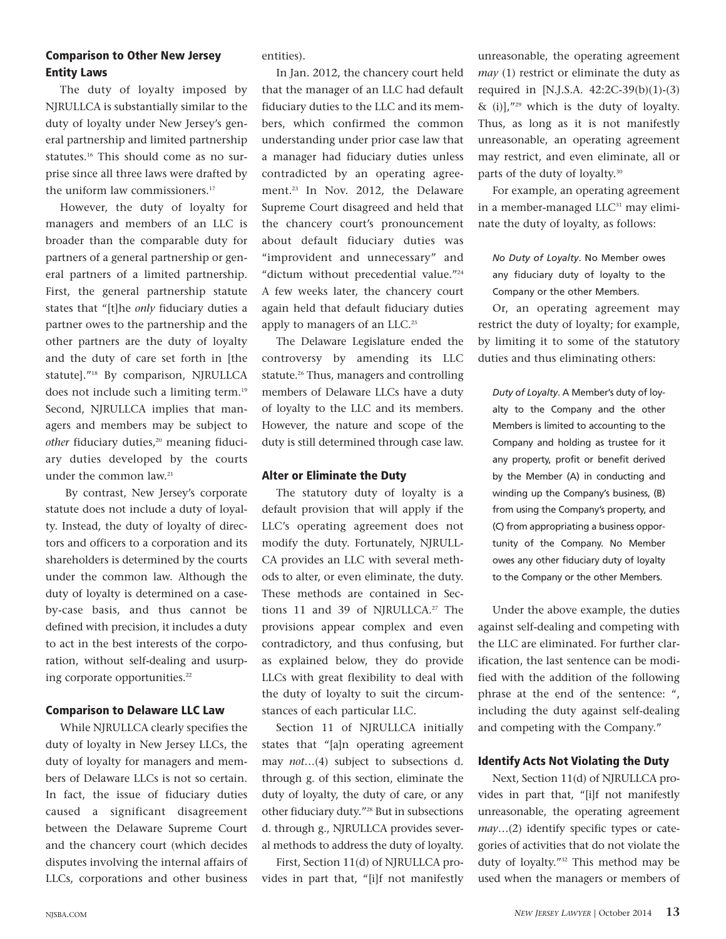# Comparison to Other New Jersey Entity Laws

The duty of loyalty imposed by NJRULLCA is substantially similar to the duty of loyalty under New Jersey's general partnership and limited partnership statutes.<sup>16</sup> This should come as no surprise since all three laws were drafted by the uniform law commissioners.<sup>17</sup>

However, the duty of loyalty for managers and members of an LLC is broader than the comparable duty for partners of a general partnership or general partners of a limited partnership. First, the general partnership statute states that "[t]he *only* fiduciary duties a partner owes to the partnership and the other partners are the duty of loyalty and the duty of care set forth in [the statute]."<sup>18</sup> By comparison, NJRULLCA does not include such a limiting term.<sup>19</sup> Second, NJRULLCA implies that managers and members may be subject to other fiduciary duties,<sup>20</sup> meaning fiduciary duties developed by the courts under the common law.<sup>21</sup>

By contrast, New Jersey's corporate statute does not include a duty of loyalty. Instead, the duty of loyalty of directors and officers to a corporation and its shareholders is determined by the courts under the common law. Although the duty of loyalty is determined on a caseby-case basis, and thus cannot be defined with precision, it includes a duty to act in the best interests of the corporation, without self-dealing and usurping corporate opportunities.<sup>22</sup>

# Comparison to Delaware LLC Law

While NJRULLCA clearly specifies the duty of loyalty in New Jersey LLCs, the duty of loyalty for managers and members of Delaware LLCs is not so certain. In fact, the issue of fiduciary duties caused a significant disagreement between the Delaware Supreme Court and the chancery court (which decides disputes involving the internal affairs of LLCs, corporations and other business entities).

In Jan. 2012, the chancery court held that the manager of an LLC had default fiduciary duties to the LLC and its members, which confirmed the common understanding under prior case law that a manager had fiduciary duties unless contradicted by an operating agreement.<sup>23</sup> In Nov. 2012, the Delaware Supreme Court disagreed and held that the chancery court's pronouncement about default fiduciary duties was "improvident and unnecessary" and "dictum without precedential value."<sup>24</sup> A few weeks later, the chancery court again held that default fiduciary duties apply to managers of an LLC.<sup>25</sup>

The Delaware Legislature ended the controversy by amending its LLC statute.<sup>26</sup> Thus, managers and controlling members of Delaware LLCs have a duty of loyalty to the LLC and its members. However, the nature and scope of the duty is still determined through case law.

# Alter or Eliminate the Duty

The statutory duty of loyalty is a default provision that will apply if the LLC's operating agreement does not modify the duty. Fortunately, NJRULL-CA provides an LLC with several methods to alter, or even eliminate, the duty. These methods are contained in Sections 11 and 39 of NJRULLCA.<sup>27</sup> The provisions appear complex and even contradictory, and thus confusing, but as explained below, they do provide LLCs with great flexibility to deal with the duty of loyalty to suit the circumstances of each particular LLC.

Section 11 of NJRULLCA initially states that "[a]n operating agreement may *not*…(4) subject to subsections d. through g. of this section, eliminate the duty of loyalty, the duty of care, or any other fiduciary duty."<sup>28</sup> But in subsections d. through g., NJRULLCA provides several methods to address the duty of loyalty.

First, Section 11(d) of NJRULLCA provides in part that, "[i]f not manifestly

unreasonable, the operating agreement *may* (1) restrict or eliminate the duty as required in [N.J.S.A. 42:2C-39(b)(1)-(3)  $\&$  (i)],"<sup>29</sup> which is the duty of loyalty. Thus, as long as it is not manifestly unreasonable, an operating agreement may restrict, and even eliminate, all or parts of the duty of loyalty.<sup>30</sup>

For example, an operating agreement in a member-managed LLC<sup>31</sup> may eliminate the duty of loyalty, as follows:

*No Duty of Loyalty*. No Member owes any fiduciary duty of loyalty to the Company or the other Members.

Or, an operating agreement may restrict the duty of loyalty; for example, by limiting it to some of the statutory duties and thus eliminating others:

*Duty of Loyalty*. A Member's duty of loyalty to the Company and the other Members is limited to accounting to the Company and holding as trustee for it any property, profit or benefit derived by the Member (A) in conducting and winding up the Company's business, (B) from using the Company's property, and (C) from appropriating a business opportunity of the Company. No Member owes any other fiduciary duty of loyalty to the Company or the other Members.

Under the above example, the duties against self-dealing and competing with the LLC are eliminated. For further clarification, the last sentence can be modified with the addition of the following phrase at the end of the sentence: ", including the duty against self-dealing and competing with the Company."

# Identify Acts Not Violating the Duty

Next, Section 11(d) of NJRULLCA provides in part that, "[i]f not manifestly unreasonable, the operating agreement *may*…(2) identify specific types or categories of activities that do not violate the duty of loyalty."<sup>32</sup> This method may be used when the managers or members of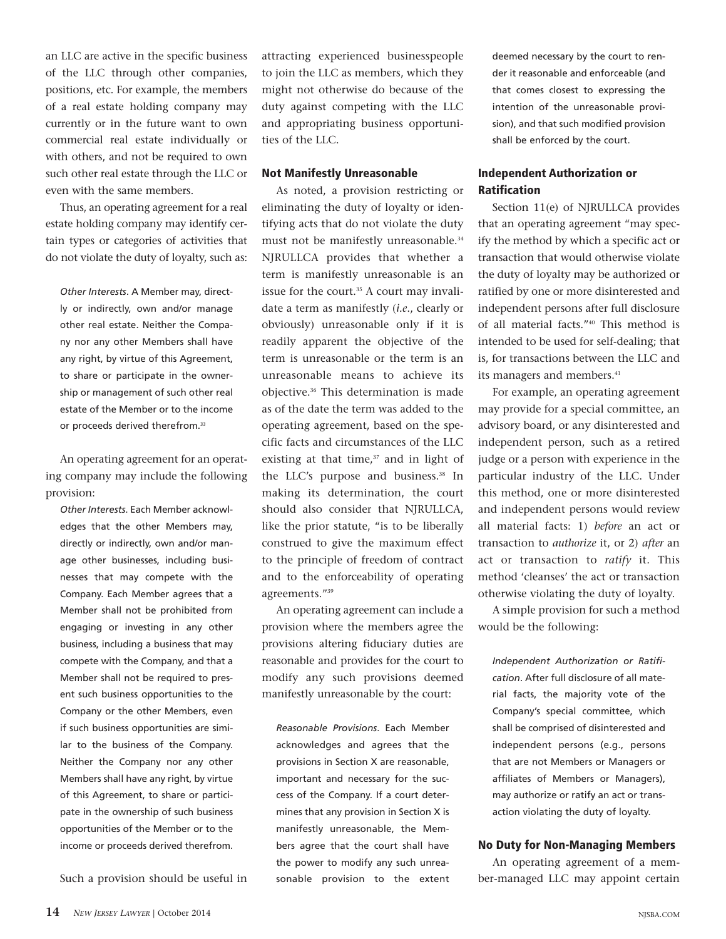an LLC are active in the specific business of the LLC through other companies, positions, etc. For example, the members of a real estate holding company may currently or in the future want to own commercial real estate individually or with others, and not be required to own such other real estate through the LLC or even with the same members.

Thus, an operating agreement for a real estate holding company may identify certain types or categories of activities that do not violate the duty of loyalty, such as:

*Other Interests*. A Member may, directly or indirectly, own and/or manage other real estate. Neither the Company nor any other Members shall have any right, by virtue of this Agreement, to share or participate in the ownership or management of such other real estate of the Member or to the income or proceeds derived therefrom.<sup>33</sup>

An operating agreement for an operating company may include the following provision:

*Other Interests*. Each Member acknowledges that the other Members may, directly or indirectly, own and/or manage other businesses, including businesses that may compete with the Company. Each Member agrees that a Member shall not be prohibited from engaging or investing in any other business, including a business that may compete with the Company, and that a Member shall not be required to present such business opportunities to the Company or the other Members, even if such business opportunities are similar to the business of the Company. Neither the Company nor any other Members shall have any right, by virtue of this Agreement, to share or participate in the ownership of such business opportunities of the Member or to the income or proceeds derived therefrom.

Such a provision should be useful in

attracting experienced businesspeople to join the LLC as members, which they might not otherwise do because of the duty against competing with the LLC and appropriating business opportunities of the LLC.

#### Not Manifestly Unreasonable

As noted, a provision restricting or eliminating the duty of loyalty or identifying acts that do not violate the duty must not be manifestly unreasonable.<sup>34</sup> NJRULLCA provides that whether a term is manifestly unreasonable is an issue for the court.<sup>35</sup> A court may invalidate a term as manifestly (*i.e*., clearly or obviously) unreasonable only if it is readily apparent the objective of the term is unreasonable or the term is an unreasonable means to achieve its objective.<sup>36</sup> This determination is made as of the date the term was added to the operating agreement, based on the specific facts and circumstances of the LLC existing at that time, $37$  and in light of the LLC's purpose and business.<sup>38</sup> In making its determination, the court should also consider that NJRULLCA, like the prior statute, "is to be liberally construed to give the maximum effect to the principle of freedom of contract and to the enforceability of operating agreements."<sup>39</sup>

An operating agreement can include a provision where the members agree the provisions altering fiduciary duties are reasonable and provides for the court to modify any such provisions deemed manifestly unreasonable by the court:

*Reasonable Provisions*. Each Member acknowledges and agrees that the provisions in Section X are reasonable, important and necessary for the success of the Company. If a court determines that any provision in Section X is manifestly unreasonable, the Members agree that the court shall have the power to modify any such unreasonable provision to the extent deemed necessary by the court to render it reasonable and enforceable (and that comes closest to expressing the intention of the unreasonable provision), and that such modified provision shall be enforced by the court.

# Independent Authorization or Ratification

Section 11(e) of NJRULLCA provides that an operating agreement "may specify the method by which a specific act or transaction that would otherwise violate the duty of loyalty may be authorized or ratified by one or more disinterested and independent persons after full disclosure of all material facts."<sup>40</sup> This method is intended to be used for self-dealing; that is, for transactions between the LLC and its managers and members.<sup>41</sup>

For example, an operating agreement may provide for a special committee, an advisory board, or any disinterested and independent person, such as a retired judge or a person with experience in the particular industry of the LLC. Under this method, one or more disinterested and independent persons would review all material facts: 1) *before* an act or transaction to *authorize* it, or 2) *after* an act or transaction to *ratify* it. This method 'cleanses' the act or transaction otherwise violating the duty of loyalty.

A simple provision for such a method would be the following:

*Independent Authorization or Ratification*. After full disclosure of all material facts, the majority vote of the Company's special committee, which shall be comprised of disinterested and independent persons (e.g., persons that are not Members or Managers or affiliates of Members or Managers), may authorize or ratify an act or transaction violating the duty of loyalty.

#### No Duty for Non-Managing Members

An operating agreement of a member-managed LLC may appoint certain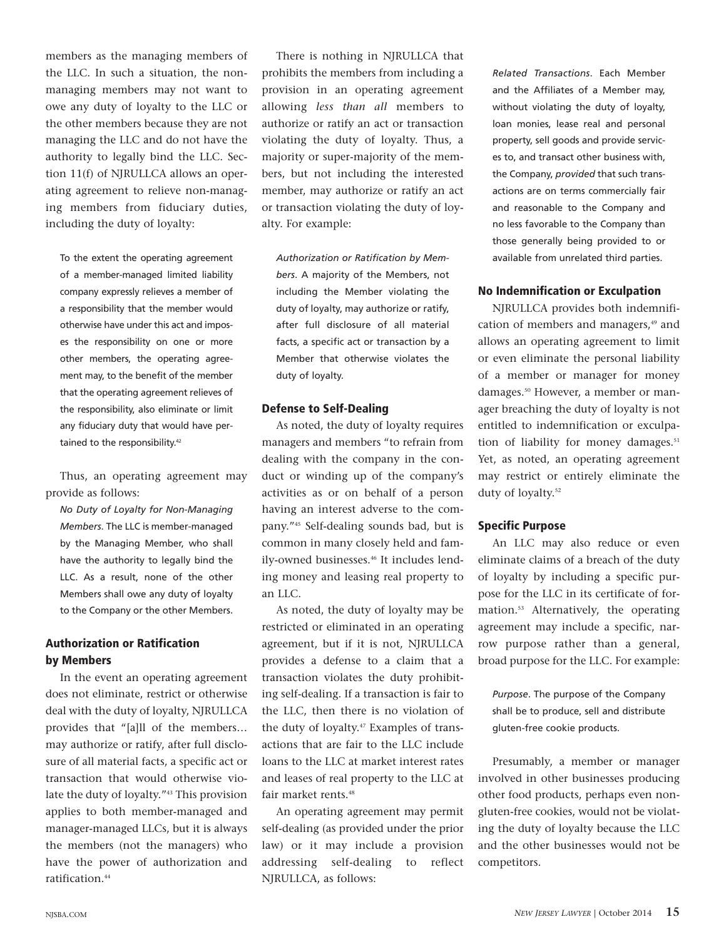members as the managing members of the LLC. In such a situation, the nonmanaging members may not want to owe any duty of loyalty to the LLC or the other members because they are not managing the LLC and do not have the authority to legally bind the LLC. Section 11(f) of NJRULLCA allows an operating agreement to relieve non-managing members from fiduciary duties, including the duty of loyalty:

To the extent the operating agreement of a member-managed limited liability company expressly relieves a member of a responsibility that the member would otherwise have under this act and imposes the responsibility on one or more other members, the operating agreement may, to the benefit of the member that the operating agreement relieves of the responsibility, also eliminate or limit any fiduciary duty that would have pertained to the responsibility.<sup>42</sup>

Thus, an operating agreement may provide as follows:

*No Duty of Loyalty for Non-Managing Members*. The LLC is member-managed by the Managing Member, who shall have the authority to legally bind the LLC. As a result, none of the other Members shall owe any duty of loyalty to the Company or the other Members.

# Authorization or Ratification by Members

In the event an operating agreement does not eliminate, restrict or otherwise deal with the duty of loyalty, NJRULLCA provides that "[a]ll of the members… may authorize or ratify, after full disclosure of all material facts, a specific act or transaction that would otherwise violate the duty of loyalty."<sup>43</sup> This provision applies to both member-managed and manager-managed LLCs, but it is always the members (not the managers) who have the power of authorization and ratification.<sup>44</sup>

There is nothing in NJRULLCA that prohibits the members from including a provision in an operating agreement allowing *less than all* members to authorize or ratify an act or transaction violating the duty of loyalty. Thus, a majority or super-majority of the members, but not including the interested member, may authorize or ratify an act or transaction violating the duty of loyalty. For example:

*Authorization or Ratification by Members*. A majority of the Members, not including the Member violating the duty of loyalty, may authorize or ratify, after full disclosure of all material facts, a specific act or transaction by a Member that otherwise violates the duty of loyalty.

# Defense to Self-Dealing

As noted, the duty of loyalty requires managers and members "to refrain from dealing with the company in the conduct or winding up of the company's activities as or on behalf of a person having an interest adverse to the company."<sup>45</sup> Self-dealing sounds bad, but is common in many closely held and family-owned businesses.<sup>46</sup> It includes lending money and leasing real property to an LLC.

As noted, the duty of loyalty may be restricted or eliminated in an operating agreement, but if it is not, NJRULLCA provides a defense to a claim that a transaction violates the duty prohibiting self-dealing. If a transaction is fair to the LLC, then there is no violation of the duty of loyalty.<sup>47</sup> Examples of transactions that are fair to the LLC include loans to the LLC at market interest rates and leases of real property to the LLC at fair market rents.<sup>48</sup>

An operating agreement may permit self-dealing (as provided under the prior law) or it may include a provision addressing self-dealing to reflect NJRULLCA, as follows:

*Related Transactions*. Each Member and the Affiliates of a Member may, without violating the duty of loyalty, loan monies, lease real and personal property, sell goods and provide services to, and transact other business with, the Company, *provided* that such transactions are on terms commercially fair and reasonable to the Company and no less favorable to the Company than those generally being provided to or available from unrelated third parties.

# No Indemnification or Exculpation

NJRULLCA provides both indemnification of members and managers,<sup>49</sup> and allows an operating agreement to limit or even eliminate the personal liability of a member or manager for money damages.<sup>50</sup> However, a member or manager breaching the duty of loyalty is not entitled to indemnification or exculpation of liability for money damages.<sup>51</sup> Yet, as noted, an operating agreement may restrict or entirely eliminate the duty of loyalty.<sup>52</sup>

#### Specific Purpose

An LLC may also reduce or even eliminate claims of a breach of the duty of loyalty by including a specific purpose for the LLC in its certificate of formation.<sup>53</sup> Alternatively, the operating agreement may include a specific, narrow purpose rather than a general, broad purpose for the LLC. For example:

*Purpose*. The purpose of the Company shall be to produce, sell and distribute gluten-free cookie products.

Presumably, a member or manager involved in other businesses producing other food products, perhaps even nongluten-free cookies, would not be violating the duty of loyalty because the LLC and the other businesses would not be competitors.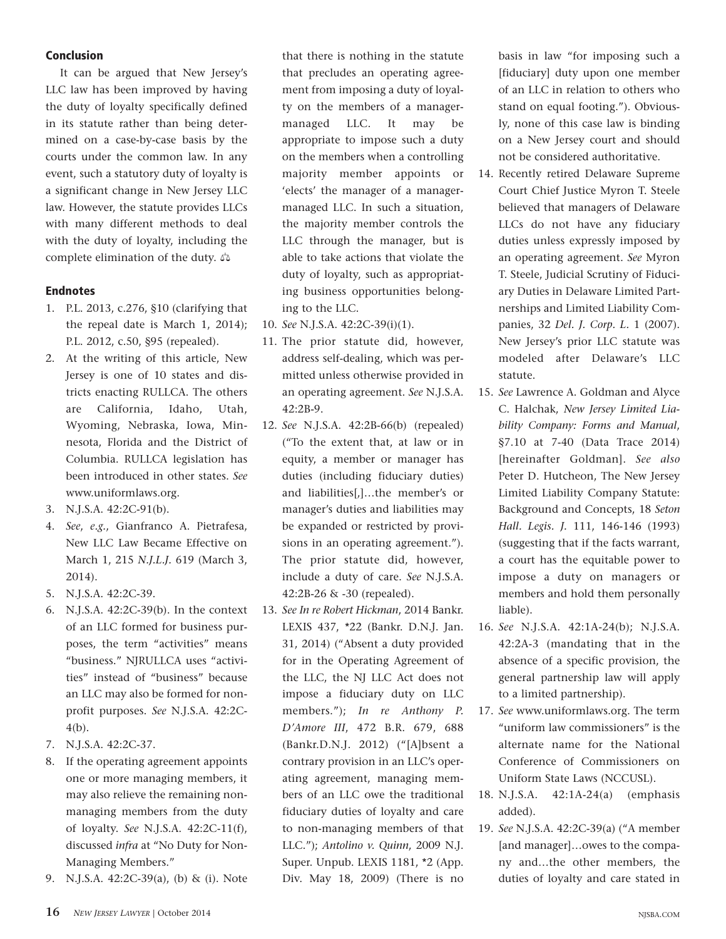# **Conclusion**

It can be argued that New Jersey's LLC law has been improved by having the duty of loyalty specifically defined in its statute rather than being determined on a case-by-case basis by the courts under the common law. In any event, such a statutory duty of loyalty is a significant change in New Jersey LLC law. However, the statute provides LLCs with many different methods to deal with the duty of loyalty, including the complete elimination of the duty.

# Endnotes

- 1. P.L. 2013, c.276, §10 (clarifying that the repeal date is March 1, 2014); P.L. 2012, c.50, §95 (repealed).
- 2. At the writing of this article, New Jersey is one of 10 states and districts enacting RULLCA. The others are California, Idaho, Utah, Wyoming, Nebraska, Iowa, Minnesota, Florida and the District of Columbia. RULLCA legislation has been introduced in other states. *See* www.uniformlaws.org.
- 3. N.J.S.A. 42:2C-91(b).
- 4. *See*, *e.g.*, Gianfranco A. Pietrafesa, New LLC Law Became Effective on March 1, 215 *N.J.L.J.* 619 (March 3, 2014).
- 5. N.J.S.A. 42:2C-39.
- 6. N.J.S.A. 42:2C-39(b). In the context of an LLC formed for business purposes, the term "activities" means "business." NJRULLCA uses "activities" instead of "business" because an LLC may also be formed for nonprofit purposes. *See* N.J.S.A. 42:2C-4(b).
- 7. N.J.S.A. 42:2C-37.
- 8. If the operating agreement appoints one or more managing members, it may also relieve the remaining nonmanaging members from the duty of loyalty. *See* N.J.S.A. 42:2C-11(f), discussed *infra* at "No Duty for Non-Managing Members."
- 9. N.J.S.A. 42:2C-39(a), (b) & (i). Note

that there is nothing in the statute that precludes an operating agreement from imposing a duty of loyalty on the members of a managermanaged LLC. It may be appropriate to impose such a duty on the members when a controlling majority member appoints or 'elects' the manager of a managermanaged LLC. In such a situation, the majority member controls the LLC through the manager, but is able to take actions that violate the duty of loyalty, such as appropriating business opportunities belonging to the LLC.

- 10. *See* N.J.S.A. 42:2C-39(i)(1).
- 11. The prior statute did, however, address self-dealing, which was permitted unless otherwise provided in an operating agreement. *See* N.J.S.A. 42:2B-9.
- 12. *See* N.J.S.A. 42:2B-66(b) (repealed) ("To the extent that, at law or in equity, a member or manager has duties (including fiduciary duties) and liabilities[,]…the member's or manager's duties and liabilities may be expanded or restricted by provisions in an operating agreement."). The prior statute did, however, include a duty of care. *See* N.J.S.A. 42:2B-26 & -30 (repealed).
- 13. *See In re Robert Hickman*, 2014 Bankr. LEXIS 437, \*22 (Bankr. D.N.J. Jan. 31, 2014) ("Absent a duty provided for in the Operating Agreement of the LLC, the NJ LLC Act does not impose a fiduciary duty on LLC members."); *In re Anthony P. D'Amore III*, 472 B.R. 679, 688 (Bankr.D.N.J. 2012) ("[A]bsent a contrary provision in an LLC's operating agreement, managing members of an LLC owe the traditional fiduciary duties of loyalty and care to non-managing members of that LLC."); *Antolino v. Quinn*, 2009 N.J. Super. Unpub. LEXIS 1181, \*2 (App. Div. May 18, 2009) (There is no

basis in law "for imposing such a [fiduciary] duty upon one member of an LLC in relation to others who stand on equal footing."). Obviously, none of this case law is binding on a New Jersey court and should not be considered authoritative.

- 14. Recently retired Delaware Supreme Court Chief Justice Myron T. Steele believed that managers of Delaware LLCs do not have any fiduciary duties unless expressly imposed by an operating agreement. *See* Myron T. Steele, Judicial Scrutiny of Fiduciary Duties in Delaware Limited Partnerships and Limited Liability Companies, 32 *Del. J. Corp. L.* 1 (2007). New Jersey's prior LLC statute was modeled after Delaware's LLC statute.
- 15. *See* Lawrence A. Goldman and Alyce C. Halchak, *New Jersey Limited Liability Company: Forms and Manual*, §7.10 at 7-40 (Data Trace 2014) [hereinafter Goldman]. *See also* Peter D. Hutcheon, The New Jersey Limited Liability Company Statute: Background and Concepts, 18 *Seton Hall. Legis. J.* 111, 146-146 (1993) (suggesting that if the facts warrant, a court has the equitable power to impose a duty on managers or members and hold them personally liable).
- 16. *See* N.J.S.A. 42:1A-24(b); N.J.S.A. 42:2A-3 (mandating that in the absence of a specific provision, the general partnership law will apply to a limited partnership).
- 17. *See* www.uniformlaws.org. The term "uniform law commissioners" is the alternate name for the National Conference of Commissioners on Uniform State Laws (NCCUSL).
- 18. N.J.S.A. 42:1A-24(a) (emphasis added).
- 19. *See* N.J.S.A. 42:2C-39(a) ("A member [and manager]…owes to the company and…the other members, the duties of loyalty and care stated in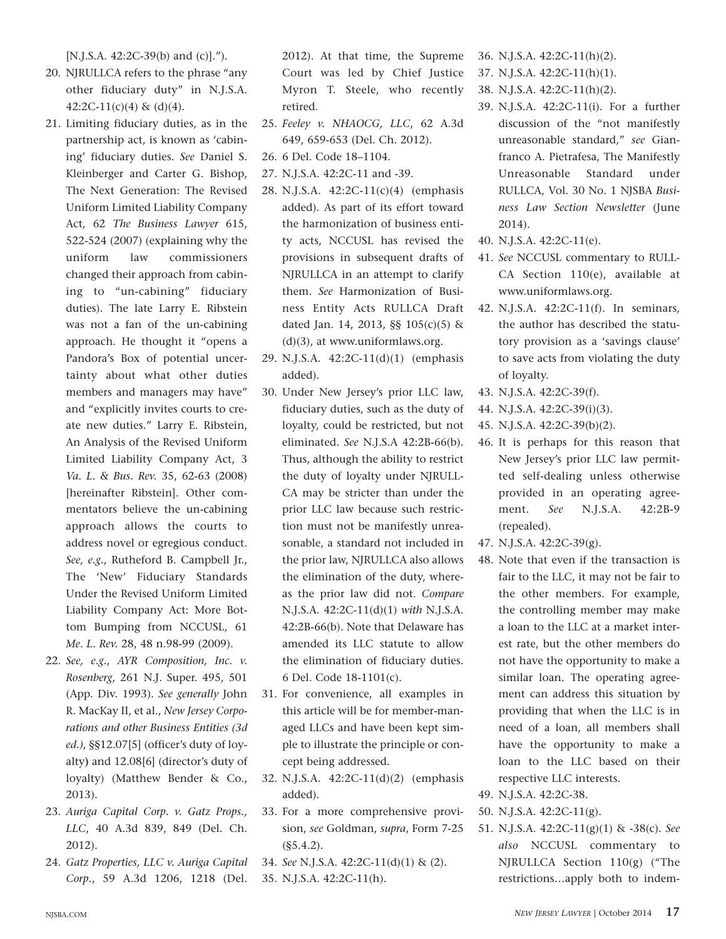[N.J.S.A. 42:2C-39(b) and (c)].").

- 20. NJRULLCA refers to the phrase "any other fiduciary duty" in N.J.S.A.  $42:2C-11(c)(4)$  & (d)(4).
- 21. Limiting fiduciary duties, as in the partnership act, is known as 'cabining' fiduciary duties. *See* Daniel S. Kleinberger and Carter G. Bishop, The Next Generation: The Revised Uniform Limited Liability Company Act, 62 *The Business Lawyer* 615, 522-524 (2007) (explaining why the uniform law commissioners changed their approach from cabining to "un-cabining" fiduciary duties). The late Larry E. Ribstein was not a fan of the un-cabining approach. He thought it "opens a Pandora's Box of potential uncertainty about what other duties members and managers may have" and "explicitly invites courts to create new duties." Larry E. Ribstein, An Analysis of the Revised Uniform Limited Liability Company Act, 3 *Va. L. & Bus. Rev.* 35, 62-63 (2008) [hereinafter Ribstein]. Other commentators believe the un-cabining approach allows the courts to address novel or egregious conduct. *See, e.g.*, Rutheford B. Campbell Jr., The 'New' Fiduciary Standards Under the Revised Uniform Limited Liability Company Act: More Bottom Bumping from NCCUSL, 61 *Me. L. Rev.* 28, 48 n.98-99 (2009).
- 22. *See, e.g.*, *AYR Composition, Inc. v. Rosenberg*, 261 N.J. Super. 495, 501 (App. Div. 1993). *See generally* John R. MacKay II, et al., *New Jersey Corporations and other Business Entities (3d ed.)*, §§12.07[5] (officer's duty of loyalty**)** and 12.08[6] (director's duty of loyalty) (Matthew Bender & Co., 2013).
- 23. *Auriga Capital Corp. v. Gatz Props., LLC*, 40 A.3d 839, 849 (Del. Ch. 2012).
- 24. *Gatz Properties, LLC v. Auriga Capital Corp.*, 59 A.3d 1206, 1218 (Del.

2012). At that time, the Supreme Court was led by Chief Justice Myron T. Steele, who recently retired.

- 25. *Feeley v. NHAOCG, LLC*, 62 A.3d 649, 659-653 (Del. Ch. 2012).
- 26. 6 Del. Code 18–1104.
- 27. N.J.S.A. 42:2C-11 and -39.
- 28. N.J.S.A. 42:2C-11(c)(4) (emphasis added). As part of its effort toward the harmonization of business entity acts, NCCUSL has revised the provisions in subsequent drafts of NJRULLCA in an attempt to clarify them. *See* Harmonization of Business Entity Acts RULLCA Draft dated Jan. 14, 2013, §§ 105(c)(5) & (d)(3), at www.uniformlaws.org.
- 29. N.J.S.A. 42:2C-11(d)(1) (emphasis added).
- 30. Under New Jersey's prior LLC law, fiduciary duties, such as the duty of loyalty, could be restricted, but not eliminated. *See* N.J.S.A 42:2B-66(b). Thus, although the ability to restrict the duty of loyalty under NJRULL-CA may be stricter than under the prior LLC law because such restriction must not be manifestly unreasonable, a standard not included in the prior law, NJRULLCA also allows the elimination of the duty, whereas the prior law did not. *Compare* N.J.S.A. 42:2C-11(d)(1) *with* N.J.S.A. 42:2B-66(b). Note that Delaware has amended its LLC statute to allow the elimination of fiduciary duties. 6 Del. Code 18-1101(c).
- 31. For convenience, all examples in this article will be for member-managed LLCs and have been kept simple to illustrate the principle or concept being addressed.
- 32. N.J.S.A. 42:2C-11(d)(2) (emphasis added).
- 33. For a more comprehensive provision, *see* Goldman, *supra*, Form 7-25 (§5.4.2).
- 34. *See* N.J.S.A. 42:2C-11(d)(1) & (2).
- 35. N.J.S.A. 42:2C-11(h).
- 36. N.J.S.A. 42:2C-11(h)(2).
- 37. N.J.S.A. 42:2C-11(h)(1).
- 38. N.J.S.A. 42:2C-11(h)(2).
- 39. N.J.S.A. 42:2C-11(i). For a further discussion of the "not manifestly unreasonable standard," *see* Gianfranco A. Pietrafesa, The Manifestly Unreasonable Standard under RULLCA, Vol. 30 No. 1 NJSBA *Business Law Section Newsletter* (June 2014).
- 40. N.J.S.A. 42:2C-11(e).
- 41. *See* NCCUSL commentary to RULL-CA Section 110(e), available at www.uniformlaws.org.
- 42. N.J.S.A. 42:2C-11(f). In seminars, the author has described the statutory provision as a 'savings clause' to save acts from violating the duty of loyalty.
- 43. N.J.S.A. 42:2C-39(f).
- 44. N.J.S.A. 42:2C-39(i)(3).
- 45. N.J.S.A. 42:2C-39(b)(2).
- 46. It is perhaps for this reason that New Jersey's prior LLC law permitted self-dealing unless otherwise provided in an operating agreement. *See* N.J.S.A. 42:2B-9 (repealed).
- 47. N.J.S.A. 42:2C-39(g).
- 48. Note that even if the transaction is fair to the LLC, it may not be fair to the other members. For example, the controlling member may make a loan to the LLC at a market interest rate, but the other members do not have the opportunity to make a similar loan. The operating agreement can address this situation by providing that when the LLC is in need of a loan, all members shall have the opportunity to make a loan to the LLC based on their respective LLC interests.
- 49. N.J.S.A. 42:2C-38.
- 50. N.J.S.A. 42:2C-11(g).
- 51. N.J.S.A. 42:2C-11(g)(1) & -38(c). *See also* NCCUSL commentary to NJRULLCA Section 110(g) ("The restrictions…apply both to indem-